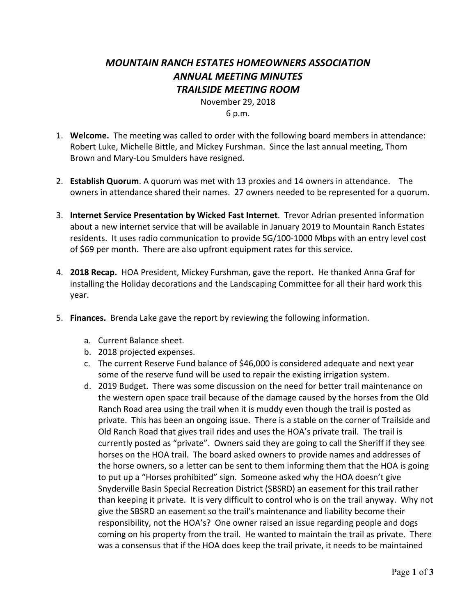## *MOUNTAIN RANCH ESTATES HOMEOWNERS ASSOCIATION ANNUAL MEETING MINUTES TRAILSIDE MEETING ROOM*

November 29, 2018

6 p.m.

- 1. **Welcome.** The meeting was called to order with the following board members in attendance: Robert Luke, Michelle Bittle, and Mickey Furshman. Since the last annual meeting, Thom Brown and Mary-Lou Smulders have resigned.
- 2. **Establish Quorum**. A quorum was met with 13 proxies and 14 owners in attendance. The owners in attendance shared their names. 27 owners needed to be represented for a quorum.
- 3. **Internet Service Presentation by Wicked Fast Internet**. Trevor Adrian presented information about a new internet service that will be available in January 2019 to Mountain Ranch Estates residents. It uses radio communication to provide 5G/100-1000 Mbps with an entry level cost of \$69 per month. There are also upfront equipment rates for this service.
- 4. **2018 Recap.** HOA President, Mickey Furshman, gave the report. He thanked Anna Graf for installing the Holiday decorations and the Landscaping Committee for all their hard work this year.
- 5. **Finances.** Brenda Lake gave the report by reviewing the following information.
	- a. Current Balance sheet.
	- b. 2018 projected expenses.
	- c. The current Reserve Fund balance of \$46,000 is considered adequate and next year some of the reserve fund will be used to repair the existing irrigation system.
	- d. 2019 Budget. There was some discussion on the need for better trail maintenance on the western open space trail because of the damage caused by the horses from the Old Ranch Road area using the trail when it is muddy even though the trail is posted as private. This has been an ongoing issue. There is a stable on the corner of Trailside and Old Ranch Road that gives trail rides and uses the HOA's private trail. The trail is currently posted as "private". Owners said they are going to call the Sheriff if they see horses on the HOA trail. The board asked owners to provide names and addresses of the horse owners, so a letter can be sent to them informing them that the HOA is going to put up a "Horses prohibited" sign. Someone asked why the HOA doesn't give Snyderville Basin Special Recreation District (SBSRD) an easement for this trail rather than keeping it private. It is very difficult to control who is on the trail anyway. Why not give the SBSRD an easement so the trail's maintenance and liability become their responsibility, not the HOA's? One owner raised an issue regarding people and dogs coming on his property from the trail. He wanted to maintain the trail as private. There was a consensus that if the HOA does keep the trail private, it needs to be maintained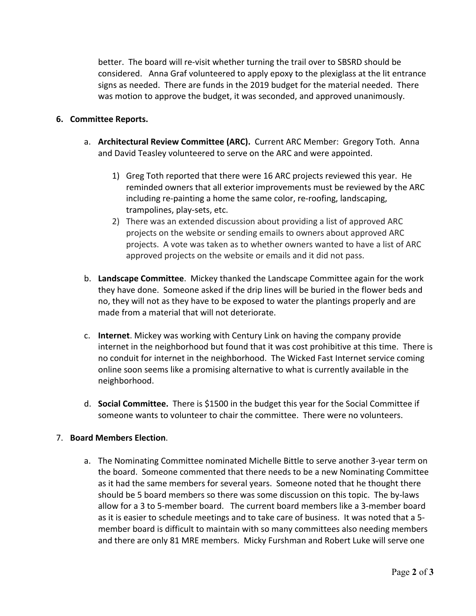better. The board will re-visit whether turning the trail over to SBSRD should be considered. Anna Graf volunteered to apply epoxy to the plexiglass at the lit entrance signs as needed. There are funds in the 2019 budget for the material needed. There was motion to approve the budget, it was seconded, and approved unanimously.

## **6. Committee Reports.**

- a. **Architectural Review Committee (ARC).** Current ARC Member: Gregory Toth. Anna and David Teasley volunteered to serve on the ARC and were appointed.
	- 1) Greg Toth reported that there were 16 ARC projects reviewed this year. He reminded owners that all exterior improvements must be reviewed by the ARC including re-painting a home the same color, re-roofing, landscaping, trampolines, play-sets, etc.
	- 2) There was an extended discussion about providing a list of approved ARC projects on the website or sending emails to owners about approved ARC projects. A vote was taken as to whether owners wanted to have a list of ARC approved projects on the website or emails and it did not pass.
- b. **Landscape Committee**. Mickey thanked the Landscape Committee again for the work they have done. Someone asked if the drip lines will be buried in the flower beds and no, they will not as they have to be exposed to water the plantings properly and are made from a material that will not deteriorate.
- c. **Internet**. Mickey was working with Century Link on having the company provide internet in the neighborhood but found that it was cost prohibitive at this time. There is no conduit for internet in the neighborhood. The Wicked Fast Internet service coming online soon seems like a promising alternative to what is currently available in the neighborhood.
- d. **Social Committee.** There is \$1500 in the budget this year for the Social Committee if someone wants to volunteer to chair the committee. There were no volunteers.

## 7. **Board Members Election**.

a. The Nominating Committee nominated Michelle Bittle to serve another 3-year term on the board. Someone commented that there needs to be a new Nominating Committee as it had the same members for several years. Someone noted that he thought there should be 5 board members so there was some discussion on this topic. The by-laws allow for a 3 to 5-member board. The current board members like a 3-member board as it is easier to schedule meetings and to take care of business. It was noted that a 5 member board is difficult to maintain with so many committees also needing members and there are only 81 MRE members. Micky Furshman and Robert Luke will serve one